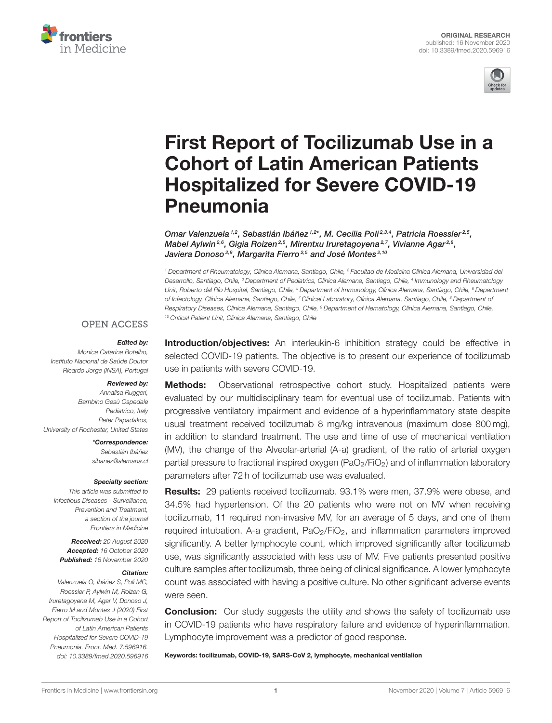



# [First Report of Tocilizumab Use in a](https://www.frontiersin.org/articles/10.3389/fmed.2020.596916/full) Cohort of Latin American Patients Hospitalized for Severe COVID-19 Pneumonia

Omar Valenzuela<sup>1,2</sup>, Sebastián Ibáñez<sup>1,2\*</sup>, M. Cecilia Poli<sup>2,3,4</sup>, Patricia Roessler<sup>2,5</sup>, Mabel Aylwin<sup>2,6</sup>, Gigia Roizen<sup>2,5</sup>, Mirentxu Iruretagoyena<sup>2,7</sup>, Vivianne Agar<sup>2,8</sup>, Javiera Donoso<sup>2,9</sup>, Margarita Fierro<sup>2,5</sup> and José Montes<sup>2,10</sup>

<sup>1</sup> Department of Rheumatology, Clínica Alemana, Santiago, Chile, <sup>2</sup> Facultad de Medicina Clínica Alemana, Universidad del Desarrollo, Santiago, Chile, <sup>3</sup> Department of Pediatrics, Clínica Alemana, Santiago, Chile, <sup>4</sup> Immunology and Rheumatology Unit, Roberto del Río Hospital, Santiago, Chile, <sup>s</sup> Department of Immunology, Clínica Alemana, Santiago, Chile, <sup>s</sup> Department of Infectology, Clínica Alemana, Santiago, Chile, <sup>7</sup> Clinical Laboratory, Clínica Alemana, Santiago, Chile, <sup>8</sup> Department of Respiratory Diseases, Clínica Alemana, Santiago, Chile, <sup>9</sup> Department of Hematology, Clínica Alemana, Santiago, Chile, <sup>10</sup> Critical Patient Unit, Clínica Alemana, Santiago, Chile

### **OPEN ACCESS**

#### Edited by:

Monica Catarina Botelho, Instituto Nacional de Saúde Doutor Ricardo Jorge (INSA), Portugal

#### Reviewed by:

Annalisa Ruggeri, Bambino Gesù Ospedale Pediatrico, Italy Peter Papadakos, University of Rochester, United States

> \*Correspondence: Sebastián Ibáñez [sibanez@alemana.cl](mailto:sibanez@alemana.cl)

#### Specialty section:

This article was submitted to Infectious Diseases - Surveillance, Prevention and Treatment, a section of the journal Frontiers in Medicine

Received: 20 August 2020 Accepted: 16 October 2020 Published: 16 November 2020

#### Citation:

Valenzuela O, Ibáñez S, Poli MC, Roessler P, Aylwin M, Roizen G, Iruretagoyena M, Agar V, Donoso J, Fierro M and Montes J (2020) First Report of Tocilizumab Use in a Cohort of Latin American Patients Hospitalized for Severe COVID-19 Pneumonia. Front. Med. 7:596916. doi: [10.3389/fmed.2020.596916](https://doi.org/10.3389/fmed.2020.596916) Introduction/objectives: An interleukin-6 inhibition strategy could be effective in selected COVID-19 patients. The objective is to present our experience of tocilizumab use in patients with severe COVID-19.

**Methods:** Observational retrospective cohort study. Hospitalized patients were evaluated by our multidisciplinary team for eventual use of tocilizumab. Patients with progressive ventilatory impairment and evidence of a hyperinflammatory state despite usual treatment received tocilizumab 8 mg/kg intravenous (maximum dose 800 mg), in addition to standard treatment. The use and time of use of mechanical ventilation (MV), the change of the Alveolar-arterial (A-a) gradient, of the ratio of arterial oxygen partial pressure to fractional inspired oxygen  $(PaO<sub>2</sub>/FiO<sub>2</sub>)$  and of inflammation laboratory parameters after 72 h of tocilizumab use was evaluated.

Results: 29 patients received tocilizumab. 93.1% were men, 37.9% were obese, and 34.5% had hypertension. Of the 20 patients who were not on MV when receiving tocilizumab, 11 required non-invasive MV, for an average of 5 days, and one of them required intubation. A-a gradient, PaO<sub>2</sub>/FiO<sub>2</sub>, and inflammation parameters improved significantly. A better lymphocyte count, which improved significantly after tocilizumab use, was significantly associated with less use of MV. Five patients presented positive culture samples after tocilizumab, three being of clinical significance. A lower lymphocyte count was associated with having a positive culture. No other significant adverse events were seen.

**Conclusion:** Our study suggests the utility and shows the safety of tocilizumab use in COVID-19 patients who have respiratory failure and evidence of hyperinflammation. Lymphocyte improvement was a predictor of good response.

Keywords: tocilizumab, COVID-19, SARS-CoV 2, lymphocyte, mechanical ventilalion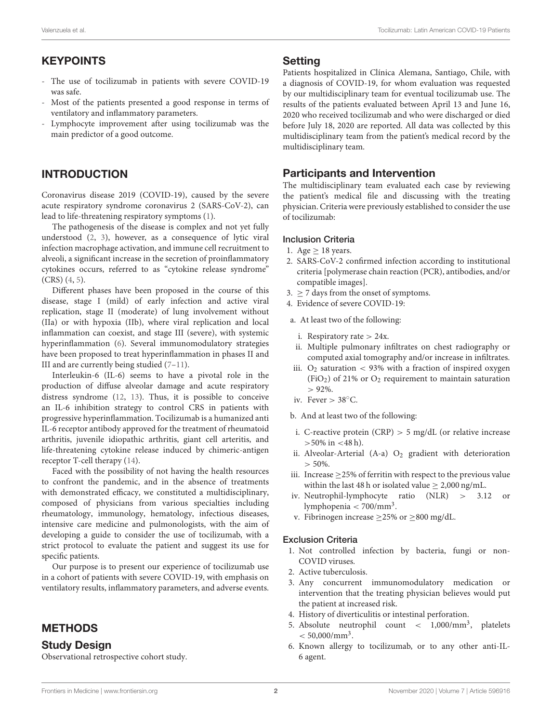# KEYPOINTS

- The use of tocilizumab in patients with severe COVID-19 was safe.
- Most of the patients presented a good response in terms of ventilatory and inflammatory parameters.
- Lymphocyte improvement after using tocilizumab was the main predictor of a good outcome.

# INTRODUCTION

Coronavirus disease 2019 (COVID-19), caused by the severe acute respiratory syndrome coronavirus 2 (SARS-CoV-2), can lead to life-threatening respiratory symptoms [\(1\)](#page-8-0).

The pathogenesis of the disease is complex and not yet fully understood [\(2,](#page-8-1) [3\)](#page-8-2), however, as a consequence of lytic viral infection macrophage activation, and immune cell recruitment to alveoli, a significant increase in the secretion of proinflammatory cytokines occurs, referred to as "cytokine release syndrome" (CRS) [\(4,](#page-8-3) [5\)](#page-8-4).

Different phases have been proposed in the course of this disease, stage I (mild) of early infection and active viral replication, stage II (moderate) of lung involvement without (IIa) or with hypoxia (IIb), where viral replication and local inflammation can coexist, and stage III (severe), with systemic hyperinflammation [\(6\)](#page-8-5). Several immunomodulatory strategies have been proposed to treat hyperinflammation in phases II and III and are currently being studied [\(7–](#page-8-6)[11\)](#page-8-7).

Interleukin-6 (IL-6) seems to have a pivotal role in the production of diffuse alveolar damage and acute respiratory distress syndrome [\(12,](#page-8-8) [13\)](#page-8-9). Thus, it is possible to conceive an IL-6 inhibition strategy to control CRS in patients with progressive hyperinflammation. Tocilizumab is a humanized anti IL-6 receptor antibody approved for the treatment of rheumatoid arthritis, juvenile idiopathic arthritis, giant cell arteritis, and life-threatening cytokine release induced by chimeric-antigen receptor T-cell therapy [\(14\)](#page-8-10).

Faced with the possibility of not having the health resources to confront the pandemic, and in the absence of treatments with demonstrated efficacy, we constituted a multidisciplinary, composed of physicians from various specialties including rheumatology, immunology, hematology, infectious diseases, intensive care medicine and pulmonologists, with the aim of developing a guide to consider the use of tocilizumab, with a strict protocol to evaluate the patient and suggest its use for specific patients.

Our purpose is to present our experience of tocilizumab use in a cohort of patients with severe COVID-19, with emphasis on ventilatory results, inflammatory parameters, and adverse events.

# METHODS

### Study Design

Observational retrospective cohort study.

### **Setting**

Patients hospitalized in Clínica Alemana, Santiago, Chile, with a diagnosis of COVID-19, for whom evaluation was requested by our multidisciplinary team for eventual tocilizumab use. The results of the patients evaluated between April 13 and June 16, 2020 who received tocilizumab and who were discharged or died before July 18, 2020 are reported. All data was collected by this multidisciplinary team from the patient's medical record by the multidisciplinary team.

# Participants and Intervention

The multidisciplinary team evaluated each case by reviewing the patient's medical file and discussing with the treating physician. Criteria were previously established to consider the use of tocilizumab:

#### Inclusion Criteria

- 1. Age  $> 18$  years.
- 2. SARS-CoV-2 confirmed infection according to institutional criteria [polymerase chain reaction (PCR), antibodies, and/or compatible images].
- 3.  $\geq$  7 days from the onset of symptoms.
- 4. Evidence of severe COVID-19:
- a. At least two of the following:
	- i. Respiratory rate  $> 24x$ .
- ii. Multiple pulmonary infiltrates on chest radiography or computed axial tomography and/or increase in infiltrates.
- iii.  $O_2$  saturation  $\lt$  93% with a fraction of inspired oxygen (FiO<sub>2</sub>) of 21% or  $O_2$  requirement to maintain saturation  $> 92\%$ .
- iv. Fever  $> 38^{\circ}$ C.

b. And at least two of the following:

- i. C-reactive protein  $(CRP) > 5$  mg/dL (or relative increase  $>50\%$  in <48 h).
- ii. Alveolar-Arterial  $(A-a)$   $O_2$  gradient with deterioration  $> 50\%$ .
- iii. Increase  $\geq$  25% of ferritin with respect to the previous value within the last 48 h or isolated value  $\geq 2,000$  ng/mL.
- iv. Neutrophil-lymphocyte ratio (NLR) > 3.12 or lymphopenia < 700/mm<sup>3</sup> .
- v. Fibrinogen increase  $\geq$ 25% or  $\geq$ 800 mg/dL.

#### Exclusion Criteria

- 1. Not controlled infection by bacteria, fungi or non-COVID viruses.
- 2. Active tuberculosis.
- 3. Any concurrent immunomodulatory medication or intervention that the treating physician believes would put the patient at increased risk.
- 4. History of diverticulitis or intestinal perforation.
- 5. Absolute neutrophil count < 1,000/mm<sup>3</sup> , platelets  $< 50,000/\text{mm}^3$ .
- 6. Known allergy to tocilizumab, or to any other anti-IL-6 agent.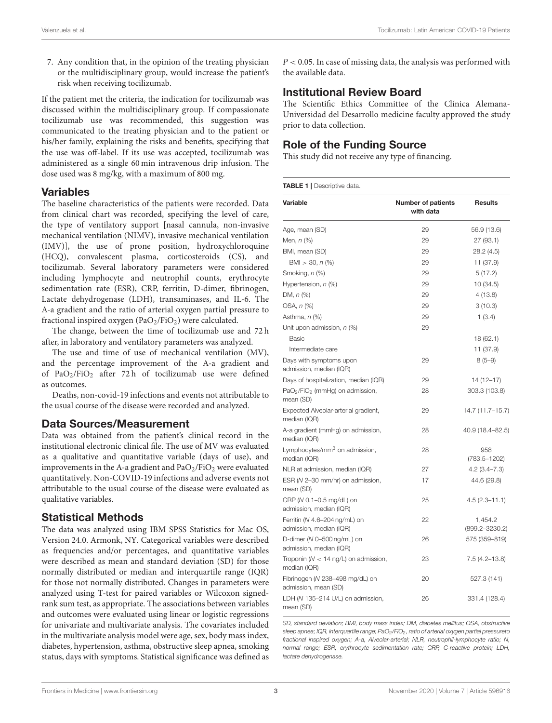7. Any condition that, in the opinion of the treating physician or the multidisciplinary group, would increase the patient's risk when receiving tocilizumab.

If the patient met the criteria, the indication for tocilizumab was discussed within the multidisciplinary group. If compassionate tocilizumab use was recommended, this suggestion was communicated to the treating physician and to the patient or his/her family, explaining the risks and benefits, specifying that the use was off-label. If its use was accepted, tocilizumab was administered as a single 60 min intravenous drip infusion. The dose used was 8 mg/kg, with a maximum of 800 mg.

### Variables

The baseline characteristics of the patients were recorded. Data from clinical chart was recorded, specifying the level of care, the type of ventilatory support [nasal cannula, non-invasive mechanical ventilation (NIMV), invasive mechanical ventilation (IMV)], the use of prone position, hydroxychloroquine (HCQ), convalescent plasma, corticosteroids (CS), and tocilizumab. Several laboratory parameters were considered including lymphocyte and neutrophil counts, erythrocyte sedimentation rate (ESR), CRP, ferritin, D-dimer, fibrinogen, Lactate dehydrogenase (LDH), transaminases, and IL-6. The A-a gradient and the ratio of arterial oxygen partial pressure to fractional inspired oxygen ( $PaO<sub>2</sub>/FiO<sub>2</sub>$ ) were calculated.

The change, between the time of tocilizumab use and 72 h after, in laboratory and ventilatory parameters was analyzed.

The use and time of use of mechanical ventilation (MV), and the percentage improvement of the A-a gradient and of PaO<sub>2</sub>/FiO<sub>2</sub> after 72 h of tocilizumab use were defined as outcomes.

Deaths, non-covid-19 infections and events not attributable to the usual course of the disease were recorded and analyzed.

# Data Sources/Measurement

Data was obtained from the patient's clinical record in the institutional electronic clinical file. The use of MV was evaluated as a qualitative and quantitative variable (days of use), and improvements in the A-a gradient and  $PaO<sub>2</sub>/FiO<sub>2</sub>$  were evaluated quantitatively. Non-COVID-19 infections and adverse events not attributable to the usual course of the disease were evaluated as qualitative variables.

# Statistical Methods

The data was analyzed using IBM SPSS Statistics for Mac OS, Version 24.0. Armonk, NY. Categorical variables were described as frequencies and/or percentages, and quantitative variables were described as mean and standard deviation (SD) for those normally distributed or median and interquartile range (IQR) for those not normally distributed. Changes in parameters were analyzed using T-test for paired variables or Wilcoxon signedrank sum test, as appropriate. The associations between variables and outcomes were evaluated using linear or logistic regressions for univariate and multivariate analysis. The covariates included in the multivariate analysis model were age, sex, body mass index, diabetes, hypertension, asthma, obstructive sleep apnea, smoking status, days with symptoms. Statistical significance was defined as

 $P < 0.05$ . In case of missing data, the analysis was performed with the available data.

# Institutional Review Board

The Scientific Ethics Committee of the Clínica Alemana-Universidad del Desarrollo medicine faculty approved the study prior to data collection.

# Role of the Funding Source

This study did not receive any type of financing.

<span id="page-2-0"></span>

| <b>TABLE 1</b>   Descriptive data. |  |
|------------------------------------|--|
|------------------------------------|--|

| Variable                                                             | <b>Number of patients</b><br>with data | <b>Results</b>                |
|----------------------------------------------------------------------|----------------------------------------|-------------------------------|
| Age, mean (SD)                                                       | 29                                     | 56.9 (13.6)                   |
| Men, $n$ $(\%)$                                                      | 29                                     | 27 (93.1)                     |
| BMI, mean (SD)                                                       | 29                                     | 28.2 (4.5)                    |
| BMI > 30, n (%)                                                      | 29                                     | 11 (37.9)                     |
| Smoking, n (%)                                                       | 29                                     | 5(17.2)                       |
| Hypertension, n (%)                                                  | 29                                     | 10 (34.5)                     |
| DM, $n$ (%)                                                          | 29                                     | 4 (13.8)                      |
| OSA, n (%)                                                           | 29                                     | 3(10.3)                       |
| Asthma, n (%)                                                        | 29                                     | 1(3.4)                        |
| Unit upon admission, n (%)                                           | 29                                     |                               |
| Basic                                                                |                                        | 18 (62.1)                     |
| Intermediate care                                                    |                                        | 11 (37.9)                     |
| Days with symptoms upon<br>admission, median (IQR)                   | 29                                     | $8(5-9)$                      |
| Days of hospitalization, median (IQR)                                | 29                                     | 14 (12-17)                    |
| PaO <sub>2</sub> /FiO <sub>2</sub> (mmHg) on admission,<br>mean (SD) | 28                                     | 303.3 (103.8)                 |
| Expected Alveolar-arterial gradient,<br>median (IQR)                 | 29                                     | 14.7 (11.7–15.7)              |
| A-a gradient (mmHg) on admission,<br>median (IQR)                    | 28                                     | 40.9 (18.4-82.5)              |
| Lymphocytes/mm <sup>3</sup> on admission,<br>median (IQR)            | 28                                     | 958<br>(783.5–1202)           |
| NLR at admission, median (IQR)                                       | 27                                     | $4.2(3.4 - 7.3)$              |
| ESR (N 2-30 mm/hr) on admission,<br>mean (SD)                        | 17                                     | 44.6 (29.8)                   |
| CRP (N 0.1-0.5 mg/dL) on<br>admission, median (IQR)                  | 25                                     | $4.5(2.3 - 11.1)$             |
| Ferritin (N 4.6-204 ng/mL) on<br>admission, median (IQR)             | 22                                     | 1.454.2<br>$(899.2 - 3230.2)$ |
| D-dimer (N 0-500 ng/mL) on<br>admission, median (IQR)                | 26                                     | 575 (359-819)                 |
| Troponin ( $N < 14$ ng/L) on admission,<br>median (IQR)              | 23                                     | $7.5(4.2 - 13.8)$             |
| Fibrinogen (N 238-498 mg/dL) on<br>admission, mean (SD)              | 20                                     | 527.3 (141)                   |
| LDH (N 135-214 U/L) on admission,<br>mean (SD)                       | 26                                     | 331.4 (128.4)                 |

SD, standard deviation; BMI, body mass index; DM, diabetes mellitus; OSA, obstructive sleep apnea; IQR, interquartile range; PaO<sub>2</sub>/FiO<sub>2</sub>, ratio of arterial oxygen partial pressureto fractional inspired oxygen; A-a, Alveolar-arterial; NLR, neutrophil-lymphocyte ratio; N, normal range; ESR, erythrocyte sedimentation rate; CRP, C-reactive protein; LDH, lactate dehydrogenase.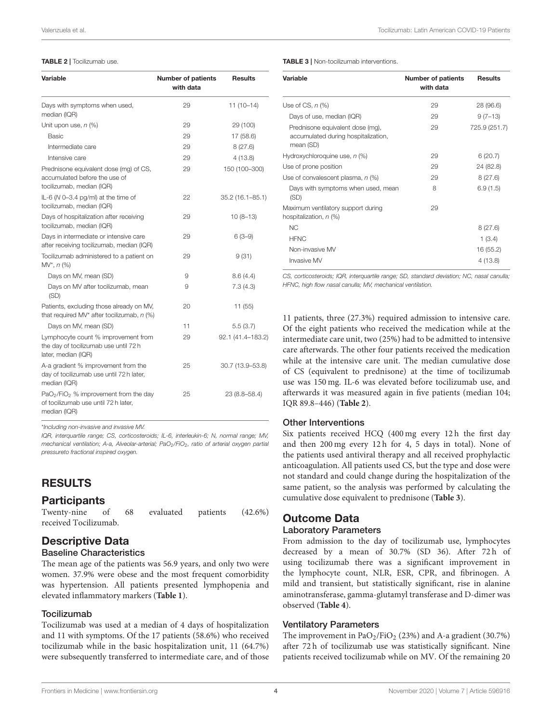#### <span id="page-3-0"></span>TABLE 2 | Tocilizumab use.

| Variable                                                                                             | <b>Number of patients</b><br>with data | <b>Results</b>      |
|------------------------------------------------------------------------------------------------------|----------------------------------------|---------------------|
| Days with symptoms when used,<br>median (IQR)                                                        | 29                                     | $11(10-14)$         |
| Unit upon use, $n$ (%)                                                                               | 29                                     | 29 (100)            |
| Basic                                                                                                | 29                                     | 17 (58.6)           |
| Intermediate care                                                                                    | 29                                     | 8(27.6)             |
| Intensive care                                                                                       | 29                                     | 4(13.8)             |
| Prednisone equivalent dose (mq) of CS,<br>accumulated before the use of<br>tocilizumab, median (IQR) | 29                                     | 150 (100-300)       |
| IL-6 ( $N$ 0-3.4 pg/ml) at the time of<br>tocilizumab, median (IQR)                                  | 22                                     | $35.2(16.1 - 85.1)$ |
| Days of hospitalization after receiving<br>tocilizumab, median (IQR)                                 | 29                                     | $10(8-13)$          |
| Days in intermediate or intensive care<br>after receiving tocilizumab, median (IQR)                  | 29                                     | $6(3-9)$            |
| Tocilizumab administered to a patient on<br>$MV^*, n (%)$                                            | 29                                     | 9(31)               |
| Days on MV, mean (SD)                                                                                | 9                                      | 8.6(4.4)            |
| Days on MV after tocilizumab, mean<br>(SD)                                                           | 9                                      | 7.3(4.3)            |
| Patients, excluding those already on MV,<br>that required MV* after tocilizumab, $n$ (%)             | 20                                     | 11 (55)             |
| Days on MV, mean (SD)                                                                                | 11                                     | 5.5(3.7)            |
| Lymphocyte count % improvement from<br>the day of tocilizumab use until 72 h<br>later, median (IQR)  | 29                                     | 92.1 (41.4-183.2)   |
| A-a gradient % improvement from the<br>day of tocilizumab use until 72 h later,<br>median (IQR)      | 25                                     | 30.7 (13.9-53.8)    |
| $PaO2/FiO2$ % improvement from the day<br>of tocilizumab use until 72 h later.<br>median (IQR)       | 25                                     | 23 (8.8–58.4)       |

\*Including non-invasive and invasive MV.

IQR, interquartile range; CS, corticosteroids; IL-6, interleukin-6; N, normal range; MV, mechanical ventilation; A-a, Alveolar-arterial; PaO<sub>2</sub>/FiO<sub>2</sub>, ratio of arterial oxygen partial pressureto fractional inspired oxygen.

# RESULTS

### **Participants**

| Twenty-nine of        | 68 | evaluated patients | $(42.6\%)$ |
|-----------------------|----|--------------------|------------|
| received Tocilizumab. |    |                    |            |

# Descriptive Data

### Baseline Characteristics

The mean age of the patients was 56.9 years, and only two were women. 37.9% were obese and the most frequent comorbidity was hypertension. All patients presented lymphopenia and elevated inflammatory markers (**[Table 1](#page-2-0)**).

#### **Tocilizumab**

Tocilizumab was used at a median of 4 days of hospitalization and 11 with symptoms. Of the 17 patients (58.6%) who received tocilizumab while in the basic hospitalization unit, 11 (64.7%) were subsequently transferred to intermediate care, and of those

#### <span id="page-3-1"></span>TABLE 3 | Non-tocilizumab interventions.

| Variable                                                                             | <b>Number of patients</b><br>with data | <b>Results</b> |
|--------------------------------------------------------------------------------------|----------------------------------------|----------------|
| Use of CS, $n$ (%)                                                                   | 29                                     | 28 (96.6)      |
| Days of use, median (IQR)                                                            | 29                                     | $9(7-13)$      |
| Prednisone equivalent dose (mg),<br>accumulated during hospitalization,<br>mean (SD) | 29                                     | 725.9 (251.7)  |
| Hydroxychloroquine use, $n$ (%)                                                      | 29                                     | 6(20.7)        |
| Use of prone position                                                                | 29                                     | 24 (82.8)      |
| Use of convalescent plasma, $n$ (%)                                                  | 29                                     | 8(27.6)        |
| Days with symptoms when used, mean<br>(SD)                                           | 8                                      | 6.9(1.5)       |
| Maximum ventilatory support during<br>hospitalization, n (%)                         | 29                                     |                |
| N <sub>C</sub>                                                                       |                                        | 8(27.6)        |
| <b>HFNC</b>                                                                          |                                        | 1(3.4)         |
| Non-invasive MV                                                                      |                                        | 16 (55.2)      |
| Invasive MV                                                                          |                                        | 4(13.8)        |

CS, corticosteroids; IQR, interquartile range; SD, standard deviation; NC, nasal canulla; HFNC, high flow nasal canulla; MV, mechanical ventilation.

11 patients, three (27.3%) required admission to intensive care. Of the eight patients who received the medication while at the intermediate care unit, two (25%) had to be admitted to intensive care afterwards. The other four patients received the medication while at the intensive care unit. The median cumulative dose of CS (equivalent to prednisone) at the time of tocilizumab use was 150 mg. IL-6 was elevated before tocilizumab use, and afterwards it was measured again in five patients (median 104; IQR 89.8–446) (**[Table 2](#page-3-0)**).

#### Other Interventions

Six patients received HCQ (400 mg every 12 h the first day and then 200 mg every 12 h for 4, 5 days in total). None of the patients used antiviral therapy and all received prophylactic anticoagulation. All patients used CS, but the type and dose were not standard and could change during the hospitalization of the same patient, so the analysis was performed by calculating the cumulative dose equivalent to prednisone (**[Table 3](#page-3-1)**).

# Outcome Data

#### Laboratory Parameters

From admission to the day of tocilizumab use, lymphocytes decreased by a mean of 30.7% (SD 36). After 72 h of using tocilizumab there was a significant improvement in the lymphocyte count, NLR, ESR, CPR, and fibrinogen. A mild and transient, but statistically significant, rise in alanine aminotransferase, gamma-glutamyl transferase and D-dimer was observed (**[Table 4](#page-4-0)**).

#### Ventilatory Parameters

The improvement in  $PaO<sub>2</sub>/FiO<sub>2</sub>$  (23%) and A-a gradient (30.7%) after 72 h of tocilizumab use was statistically significant. Nine patients received tocilizumab while on MV. Of the remaining 20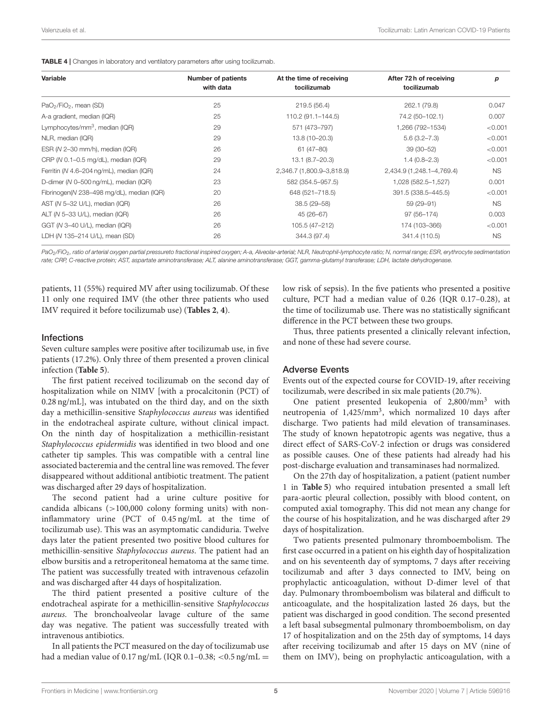<span id="page-4-0"></span>

|  | TABLE 4   Changes in laboratory and ventilatory parameters after using tocilizumab. |  |  |  |  |  |  |  |
|--|-------------------------------------------------------------------------------------|--|--|--|--|--|--|--|
|--|-------------------------------------------------------------------------------------|--|--|--|--|--|--|--|

| Variable                                       | <b>Number of patients</b><br>with data | At the time of receiving<br>tocilizumab | After 72h of receiving<br>tocilizumab | р         |
|------------------------------------------------|----------------------------------------|-----------------------------------------|---------------------------------------|-----------|
| PaO <sub>2</sub> /FiO <sub>2</sub> , mean (SD) | 25                                     | 219.5 (56.4)                            | 262.1 (79.8)                          | 0.047     |
| A-a gradient, median (IQR)                     | 25                                     | 110.2 (91.1-144.5)                      | 74.2 (50-102.1)                       | 0.007     |
| Lymphocytes/mm <sup>3</sup> , median (IQR)     | 29                                     | 571 (473-797)                           | 1,266 (792-1534)                      | < 0.001   |
| NLR, median (IQR)                              | 29                                     | 13.8 (10-20.3)                          | $5.6(3.2 - 7.3)$                      | < 0.001   |
| ESR (N 2-30 mm/h), median (IQR)                | 26                                     | 61 (47-80)                              | $39(30 - 52)$                         | < 0.001   |
| CRP ( $N$ 0.1–0.5 mg/dL), median ( $lQR$ )     | 29                                     | 13.1 (8.7-20.3)                         | $1.4(0.8-2.3)$                        | < 0.001   |
| Ferritin (N 4.6-204 ng/mL), median (IQR)       | 24                                     | 2,346.7 (1,800.9-3,818.9)               | 2,434.9 (1,248.1-4,769.4)             | NS.       |
| D-dimer (N 0-500 ng/mL), median (IQR)          | 23                                     | 582 (354.5-957.5)                       | 1,028 (582.5-1,527)                   | 0.001     |
| Fibrinogen(N 238-498 mg/dL), median (IQR)      | 20                                     | 648 (521-718.5)                         | 391.5 (338.5-445.5)                   | < 0.001   |
| AST (N 5-32 U/L), median (IQR)                 | 26                                     | 38.5 (29-58)                            | 59 (29-91)                            | <b>NS</b> |
| ALT (N 5-33 U/L), median (IQR)                 | 26                                     | 45 (26-67)                              | 97 (56-174)                           | 0.003     |
| GGT (N 3-40 U/L), median (IQR)                 | 26                                     | 105.5 (47-212)                          | 174 (103-366)                         | < 0.001   |
| LDH (N 135-214 U/L), mean (SD)                 | 26                                     | 344.3 (97.4)                            | 341.4 (110.5)                         | <b>NS</b> |
|                                                |                                        |                                         |                                       |           |

PaO<sub>2</sub>/FiO<sub>2</sub>, ratio of arterial oxygen partial pressureto fractional inspired oxygen; A-a, Alveolar-arterial; NLR, Neutrophil-lymphocyte ratio; N, normal range; ESR, erythrocyte sedimentation rate; CRP, C-reactive protein; AST, aspartate aminotransferase; ALT, alanine aminotransferase; GGT, gamma-glutamyl transferase; LDH, lactate dehydrogenase.

patients, 11 (55%) required MV after using tocilizumab. Of these 11 only one required IMV (the other three patients who used IMV required it before tocilizumab use) (**[Tables 2](#page-3-0)**, **[4](#page-4-0)**).

#### Infections

Seven culture samples were positive after tocilizumab use, in five patients (17.2%). Only three of them presented a proven clinical infection (**[Table 5](#page-5-0)**).

The first patient received tocilizumab on the second day of hospitalization while on NIMV [with a procalcitonin (PCT) of 0.28 ng/mL], was intubated on the third day, and on the sixth day a methicillin-sensitive Staphylococcus aureus was identified in the endotracheal aspirate culture, without clinical impact. On the ninth day of hospitalization a methicillin-resistant Staphylococcus epidermidis was identified in two blood and one catheter tip samples. This was compatible with a central line associated bacteremia and the central line was removed. The fever disappeared without additional antibiotic treatment. The patient was discharged after 29 days of hospitalization.

The second patient had a urine culture positive for candida albicans  $(>100,000)$  colony forming units) with noninflammatory urine (PCT of 0.45 ng/mL at the time of tocilizumab use). This was an asymptomatic candiduria. Twelve days later the patient presented two positive blood cultures for methicillin-sensitive Staphylococcus aureus. The patient had an elbow bursitis and a retroperitoneal hematoma at the same time. The patient was successfully treated with intravenous cefazolin and was discharged after 44 days of hospitalization.

The third patient presented a positive culture of the endotracheal aspirate for a methicillin-sensitive Staphylococcus aureus. The bronchoalveolar lavage culture of the same day was negative. The patient was successfully treated with intravenous antibiotics.

In all patients the PCT measured on the day of tocilizumab use had a median value of 0.17 ng/mL (IQR 0.1-0.38; <0.5 ng/mL =

low risk of sepsis). In the five patients who presented a positive culture, PCT had a median value of 0.26 (IQR 0.17–0.28), at the time of tocilizumab use. There was no statistically significant difference in the PCT between these two groups.

Thus, three patients presented a clinically relevant infection, and none of these had severe course.

#### Adverse Events

Events out of the expected course for COVID-19, after receiving tocilizumab, were described in six male patients (20.7%).

One patient presented leukopenia of 2,800/mm<sup>3</sup> with neutropenia of 1,425/mm<sup>3</sup>, which normalized 10 days after discharge. Two patients had mild elevation of transaminases. The study of known hepatotropic agents was negative, thus a direct effect of SARS-CoV-2 infection or drugs was considered as possible causes. One of these patients had already had his post-discharge evaluation and transaminases had normalized.

On the 27th day of hospitalization, a patient (patient number 1 in **[Table 5](#page-5-0)**) who required intubation presented a small left para-aortic pleural collection, possibly with blood content, on computed axial tomography. This did not mean any change for the course of his hospitalization, and he was discharged after 29 days of hospitalization.

Two patients presented pulmonary thromboembolism. The first case occurred in a patient on his eighth day of hospitalization and on his seventeenth day of symptoms, 7 days after receiving tocilizumab and after 3 days connected to IMV, being on prophylactic anticoagulation, without D-dimer level of that day. Pulmonary thromboembolism was bilateral and difficult to anticoagulate, and the hospitalization lasted 26 days, but the patient was discharged in good condition. The second presented a left basal subsegmental pulmonary thromboembolism, on day 17 of hospitalization and on the 25th day of symptoms, 14 days after receiving tocilizumab and after 15 days on MV (nine of them on IMV), being on prophylactic anticoagulation, with a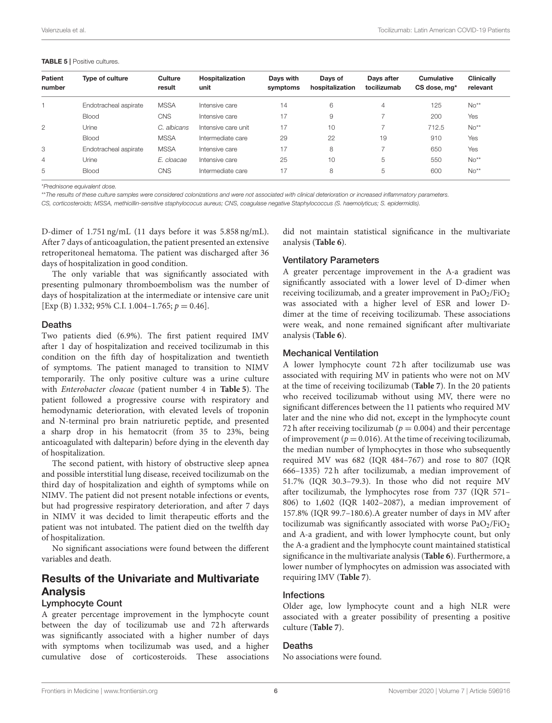#### <span id="page-5-0"></span>TABLE 5 | Positive cultures.

| Patient<br>number | Type of culture       | Culture<br>result | Hospitalization<br>unit | Davs with<br>symptoms | Davs of<br>hospitalization | Davs after<br>tocilizumab | Cumulative<br>CS dose, mg* | <b>Clinically</b><br>relevant |
|-------------------|-----------------------|-------------------|-------------------------|-----------------------|----------------------------|---------------------------|----------------------------|-------------------------------|
|                   | Endotracheal aspirate | <b>MSSA</b>       | Intensive care          | 14                    | 6                          | $\overline{4}$            | 125                        | $No**$                        |
|                   | Blood                 | <b>CNS</b>        | Intensive care          | 17                    | 9                          | –                         | 200                        | Yes                           |
| $\overline{2}$    | Urine                 | C. albicans       | Intensive care unit     | 17                    | 10                         | -                         | 712.5                      | $No**$                        |
|                   | Blood                 | <b>MSSA</b>       | Intermediate care       | 29                    | 22                         | 19                        | 910                        | Yes                           |
| 3                 | Endotracheal aspirate | <b>MSSA</b>       | Intensive care          | 17                    | 8                          |                           | 650                        | Yes                           |
| $\overline{4}$    | Urine                 | E. cloacae        | Intensive care          | 25                    | 10                         | 5                         | 550                        | $No**$                        |
| 5                 | Blood                 | CNS               | Intermediate care       | 17                    | 8                          | 5                         | 600                        | $No**$                        |

\*Prednisone equivalent dose.

\*\*The results of these culture samples were considered colonizations and were not associated with clinical deterioration or increased inflammatory parameters.

CS, corticosteroids; MSSA, methicillin-sensitive staphylococus aureus; CNS, coagulase negative Staphylococcus (S. haemolyticus; S. epidermidis).

D-dimer of 1.751 ng/mL (11 days before it was 5.858 ng/mL). After 7 days of anticoagulation, the patient presented an extensive retroperitoneal hematoma. The patient was discharged after 36 days of hospitalization in good condition.

The only variable that was significantly associated with presenting pulmonary thromboembolism was the number of days of hospitalization at the intermediate or intensive care unit [Exp (B) 1.332; 95% C.I. 1.004–1.765;  $p = 0.46$ ].

#### Deaths

Two patients died (6.9%). The first patient required IMV after 1 day of hospitalization and received tocilizumab in this condition on the fifth day of hospitalization and twentieth of symptoms. The patient managed to transition to NIMV temporarily. The only positive culture was a urine culture with Enterobacter cloacae (patient number 4 in **[Table 5](#page-5-0)**). The patient followed a progressive course with respiratory and hemodynamic deterioration, with elevated levels of troponin and N-terminal pro brain natriuretic peptide, and presented a sharp drop in his hematocrit (from 35 to 23%, being anticoagulated with dalteparin) before dying in the eleventh day of hospitalization.

The second patient, with history of obstructive sleep apnea and possible interstitial lung disease, received tocilizumab on the third day of hospitalization and eighth of symptoms while on NIMV. The patient did not present notable infections or events, but had progressive respiratory deterioration, and after 7 days in NIMV it was decided to limit therapeutic efforts and the patient was not intubated. The patient died on the twelfth day of hospitalization.

No significant associations were found between the different variables and death.

# Results of the Univariate and Multivariate Analysis

#### Lymphocyte Count

A greater percentage improvement in the lymphocyte count between the day of tocilizumab use and 72 h afterwards was significantly associated with a higher number of days with symptoms when tocilizumab was used, and a higher cumulative dose of corticosteroids. These associations did not maintain statistical significance in the multivariate analysis (**[Table 6](#page-6-0)**).

#### Ventilatory Parameters

A greater percentage improvement in the A-a gradient was significantly associated with a lower level of D-dimer when receiving tocilizumab, and a greater improvement in  $PaO<sub>2</sub>/FiO<sub>2</sub>$ was associated with a higher level of ESR and lower Ddimer at the time of receiving tocilizumab. These associations were weak, and none remained significant after multivariate analysis (**[Table 6](#page-6-0)**).

### Mechanical Ventilation

A lower lymphocyte count 72 h after tocilizumab use was associated with requiring MV in patients who were not on MV at the time of receiving tocilizumab (**[Table 7](#page-7-0)**). In the 20 patients who received tocilizumab without using MV, there were no significant differences between the 11 patients who required MV later and the nine who did not, except in the lymphocyte count 72 h after receiving tocilizumab ( $p = 0.004$ ) and their percentage of improvement ( $p = 0.016$ ). At the time of receiving tocilizumab, the median number of lymphocytes in those who subsequently required MV was 682 (IQR 484–767) and rose to 807 (IQR 666–1335) 72 h after tocilizumab, a median improvement of 51.7% (IQR 30.3–79.3). In those who did not require MV after tocilizumab, the lymphocytes rose from 737 (IQR 571– 806) to 1,602 (IQR 1402–2087), a median improvement of 157.8% (IQR 99.7–180.6).A greater number of days in MV after tocilizumab was significantly associated with worse  $PaO<sub>2</sub>/FiO<sub>2</sub>$ and A-a gradient, and with lower lymphocyte count, but only the A-a gradient and the lymphocyte count maintained statistical significance in the multivariate analysis (**[Table 6](#page-6-0)**). Furthermore, a lower number of lymphocytes on admission was associated with requiring IMV (**[Table 7](#page-7-0)**).

#### Infections

Older age, low lymphocyte count and a high NLR were associated with a greater possibility of presenting a positive culture (**[Table 7](#page-7-0)**).

#### Deaths

No associations were found.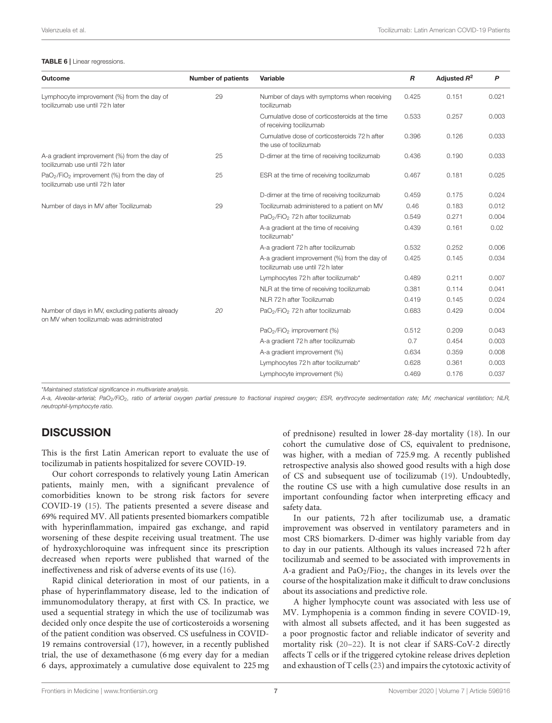#### <span id="page-6-0"></span>TABLE 6 | Linear regressions.

| Outcome                                                                                                | <b>Number of patients</b> | Variable                                                                         | $\boldsymbol{R}$ | Adjusted $R^2$ | P     |
|--------------------------------------------------------------------------------------------------------|---------------------------|----------------------------------------------------------------------------------|------------------|----------------|-------|
| Lymphocyte improvement (%) from the day of<br>tocilizumab use until 72 h later                         | 29                        | Number of days with symptoms when receiving<br>tocilizumab                       | 0.425            | 0.151          | 0.021 |
|                                                                                                        |                           | Cumulative dose of corticosteroids at the time<br>of receiving tocilizumab       | 0.533            | 0.257          | 0.003 |
|                                                                                                        |                           | Cumulative dose of corticosteroids 72 h after<br>the use of tocilizumab          | 0.396            | 0.126          | 0.033 |
| A-a gradient improvement (%) from the day of<br>tocilizumab use until 72 h later                       | 25                        | D-dimer at the time of receiving tocilizumab                                     | 0.436            | 0.190          | 0.033 |
| PaO <sub>2</sub> /FiO <sub>2</sub> improvement (%) from the day of<br>tocilizumab use until 72 h later | 25                        | ESR at the time of receiving tocilizumab                                         | 0.467            | 0.181          | 0.025 |
|                                                                                                        |                           | D-dimer at the time of receiving tocilizumab                                     | 0.459            | 0.175          | 0.024 |
| Number of days in MV after Tocilizumab                                                                 | 29                        | Tocilizumab administered to a patient on MV                                      | 0.46             | 0.183          | 0.012 |
|                                                                                                        |                           | PaO <sub>2</sub> /FiO <sub>2</sub> 72 h after tocilizumab                        | 0.549            | 0.271          | 0.004 |
|                                                                                                        |                           | A-a gradient at the time of receiving<br>tocilizumab*                            | 0.439            | 0.161          | 0.02  |
|                                                                                                        |                           | A-a gradient 72 h after tocilizumab                                              | 0.532            | 0.252          | 0.006 |
|                                                                                                        |                           | A-a gradient improvement (%) from the day of<br>tocilizumab use until 72 h later | 0.425            | 0.145          | 0.034 |
|                                                                                                        |                           | Lymphocytes 72 h after tocilizumab*                                              | 0.489            | 0.211          | 0.007 |
|                                                                                                        |                           | NLR at the time of receiving tocilizumab                                         | 0.381            | 0.114          | 0.041 |
|                                                                                                        |                           | NLR 72 h after Tocilizumab                                                       | 0.419            | 0.145          | 0.024 |
| Number of days in MV, excluding patients already<br>on MV when tocilizumab was administrated           | 20                        | PaO <sub>2</sub> /FiO <sub>2</sub> 72 h after tocilizumab                        | 0.683            | 0.429          | 0.004 |
|                                                                                                        |                           | PaO <sub>2</sub> /FiO <sub>2</sub> improvement (%)                               | 0.512            | 0.209          | 0.043 |
|                                                                                                        |                           | A-a gradient 72 h after tocilizumab                                              | 0.7              | 0.454          | 0.003 |
|                                                                                                        |                           | A-a gradient improvement (%)                                                     | 0.634            | 0.359          | 0.008 |
|                                                                                                        |                           | Lymphocytes 72 h after tocilizumab*                                              | 0.628            | 0.361          | 0.003 |
|                                                                                                        |                           | Lymphocyte improvement (%)                                                       | 0.469            | 0.176          | 0.037 |

\*Maintained statistical significance in multivariate analysis.

A-a, Alveolar-arterial; PaO<sub>2</sub>/FiO<sub>2</sub>, ratio of arterial oxygen partial pressure to fractional inspired oxygen; ESR, erythrocyte sedimentation rate; MV, mechanical ventilation; NLR, neutrophil-lymphocyte ratio.

# **DISCUSSION**

This is the first Latin American report to evaluate the use of tocilizumab in patients hospitalized for severe COVID-19.

Our cohort corresponds to relatively young Latin American patients, mainly men, with a significant prevalence of comorbidities known to be strong risk factors for severe COVID-19 [\(15\)](#page-8-11). The patients presented a severe disease and 69% required MV. All patients presented biomarkers compatible with hyperinflammation, impaired gas exchange, and rapid worsening of these despite receiving usual treatment. The use of hydroxychloroquine was infrequent since its prescription decreased when reports were published that warned of the ineffectiveness and risk of adverse events of its use [\(16\)](#page-8-12).

Rapid clinical deterioration in most of our patients, in a phase of hyperinflammatory disease, led to the indication of immunomodulatory therapy, at first with CS. In practice, we used a sequential strategy in which the use of tocilizumab was decided only once despite the use of corticosteroids a worsening of the patient condition was observed. CS usefulness in COVID-19 remains controversial [\(17\)](#page-8-13), however, in a recently published trial, the use of dexamethasone (6 mg every day for a median 6 days, approximately a cumulative dose equivalent to 225 mg of prednisone) resulted in lower 28-day mortality [\(18\)](#page-8-14). In our cohort the cumulative dose of CS, equivalent to prednisone, was higher, with a median of 725.9 mg. A recently published retrospective analysis also showed good results with a high dose of CS and subsequent use of tocilizumab [\(19\)](#page-8-15). Undoubtedly, the routine CS use with a high cumulative dose results in an important confounding factor when interpreting efficacy and safety data.

In our patients, 72 h after tocilizumab use, a dramatic improvement was observed in ventilatory parameters and in most CRS biomarkers. D-dimer was highly variable from day to day in our patients. Although its values increased 72 h after tocilizumab and seemed to be associated with improvements in A-a gradient and  $PaO<sub>2</sub>/Fio<sub>2</sub>$ , the changes in its levels over the course of the hospitalization make it difficult to draw conclusions about its associations and predictive role.

A higher lymphocyte count was associated with less use of MV. Lymphopenia is a common finding in severe COVID-19, with almost all subsets affected, and it has been suggested as a poor prognostic factor and reliable indicator of severity and mortality risk [\(20](#page-8-16)[–22\)](#page-8-17). It is not clear if SARS-CoV-2 directly affects T cells or if the triggered cytokine release drives depletion and exhaustion of T cells [\(23\)](#page-8-18) and impairs the cytotoxic activity of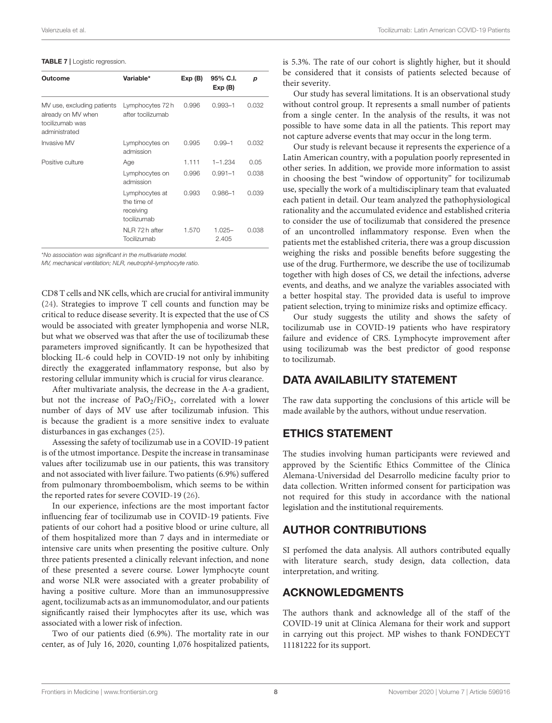#### <span id="page-7-0"></span>TABLE 7 | Logistic regression.

| Outcome                                                                              | Variable*                                                 | Exp(B) | 95% C.I.<br>Exp(B) | p     |
|--------------------------------------------------------------------------------------|-----------------------------------------------------------|--------|--------------------|-------|
| MV use, excluding patients<br>already on MV when<br>tocilizumab was<br>administrated | Lymphocytes 72h<br>after tocilizumab                      | 0.996  | $0.993 - 1$        | 0.032 |
| Invasive MV                                                                          | Lymphocytes on<br>admission                               | 0.995  | $0.99 - 1$         | 0.032 |
| Positive culture                                                                     | Age                                                       | 1.111  | $1 - 1.234$        | 0.05  |
|                                                                                      | Lymphocytes on<br>admission                               | 0.996  | $0.991 - 1$        | 0.038 |
|                                                                                      | Lymphocytes at<br>the time of<br>receiving<br>tocilizumab | 0.993  | $0.986 - 1$        | 0.039 |
|                                                                                      | NLR 72 h after<br>Tocilizumab                             | 1.570  | $1.025 -$<br>2.405 | 0.038 |

\*No association was significant in the multivariate model.

MV, mechanical ventilation; NLR, neutrophil-lymphocyte ratio.

CD8 T cells and NK cells, which are crucial for antiviral immunity [\(24\)](#page-8-19). Strategies to improve T cell counts and function may be critical to reduce disease severity. It is expected that the use of CS would be associated with greater lymphopenia and worse NLR, but what we observed was that after the use of tocilizumab these parameters improved significantly. It can be hypothesized that blocking IL-6 could help in COVID-19 not only by inhibiting directly the exaggerated inflammatory response, but also by restoring cellular immunity which is crucial for virus clearance.

After multivariate analysis, the decrease in the A-a gradient, but not the increase of  $PaO<sub>2</sub>/FiO<sub>2</sub>$ , correlated with a lower number of days of MV use after tocilizumab infusion. This is because the gradient is a more sensitive index to evaluate disturbances in gas exchanges [\(25\)](#page-8-20).

Assessing the safety of tocilizumab use in a COVID-19 patient is of the utmost importance. Despite the increase in transaminase values after tocilizumab use in our patients, this was transitory and not associated with liver failure. Two patients (6.9%) suffered from pulmonary thromboembolism, which seems to be within the reported rates for severe COVID-19 [\(26\)](#page-8-21).

In our experience, infections are the most important factor influencing fear of tocilizumab use in COVID-19 patients. Five patients of our cohort had a positive blood or urine culture, all of them hospitalized more than 7 days and in intermediate or intensive care units when presenting the positive culture. Only three patients presented a clinically relevant infection, and none of these presented a severe course. Lower lymphocyte count and worse NLR were associated with a greater probability of having a positive culture. More than an immunosuppressive agent, tocilizumab acts as an immunomodulator, and our patients significantly raised their lymphocytes after its use, which was associated with a lower risk of infection.

Two of our patients died (6.9%). The mortality rate in our center, as of July 16, 2020, counting 1,076 hospitalized patients, is 5.3%. The rate of our cohort is slightly higher, but it should be considered that it consists of patients selected because of their severity.

Our study has several limitations. It is an observational study without control group. It represents a small number of patients from a single center. In the analysis of the results, it was not possible to have some data in all the patients. This report may not capture adverse events that may occur in the long term.

Our study is relevant because it represents the experience of a Latin American country, with a population poorly represented in other series. In addition, we provide more information to assist in choosing the best "window of opportunity" for tocilizumab use, specially the work of a multidisciplinary team that evaluated each patient in detail. Our team analyzed the pathophysiological rationality and the accumulated evidence and established criteria to consider the use of tocilizumab that considered the presence of an uncontrolled inflammatory response. Even when the patients met the established criteria, there was a group discussion weighing the risks and possible benefits before suggesting the use of the drug. Furthermore, we describe the use of tocilizumab together with high doses of CS, we detail the infections, adverse events, and deaths, and we analyze the variables associated with a better hospital stay. The provided data is useful to improve patient selection, trying to minimize risks and optimize efficacy.

Our study suggests the utility and shows the safety of tocilizumab use in COVID-19 patients who have respiratory failure and evidence of CRS. Lymphocyte improvement after using tocilizumab was the best predictor of good response to tocilizumab.

# DATA AVAILABILITY STATEMENT

The raw data supporting the conclusions of this article will be made available by the authors, without undue reservation.

# ETHICS STATEMENT

The studies involving human participants were reviewed and approved by the Scientific Ethics Committee of the Clínica Alemana-Universidad del Desarrollo medicine faculty prior to data collection. Written informed consent for participation was not required for this study in accordance with the national legislation and the institutional requirements.

# AUTHOR CONTRIBUTIONS

SI perfomed the data analysis. All authors contributed equally with literature search, study design, data collection, data interpretation, and writing.

# ACKNOWLEDGMENTS

The authors thank and acknowledge all of the staff of the COVID-19 unit at Clínica Alemana for their work and support in carrying out this project. MP wishes to thank FONDECYT 11181222 for its support.